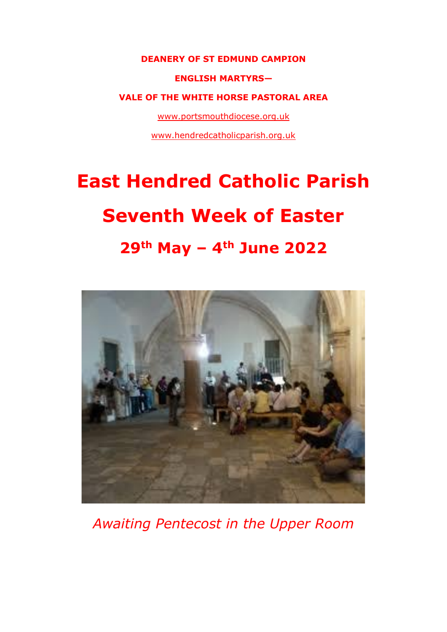#### **DEANERY OF ST EDMUND CAMPION**

#### **ENGLISH MARTYRS—**

#### **VALE OF THE WHITE HORSE PASTORAL AREA**

[www.portsmouthdiocese.org.uk](http://www.portsmouthdiocese.org.uk/)

[www.hendredcatholicparish.org.uk](http://www.hendredcatholicparish.org.uk/)

# **East Hendred Catholic Parish Seventh Week of Easter 29th May – 4th June 2022**



*Awaiting Pentecost in the Upper Room*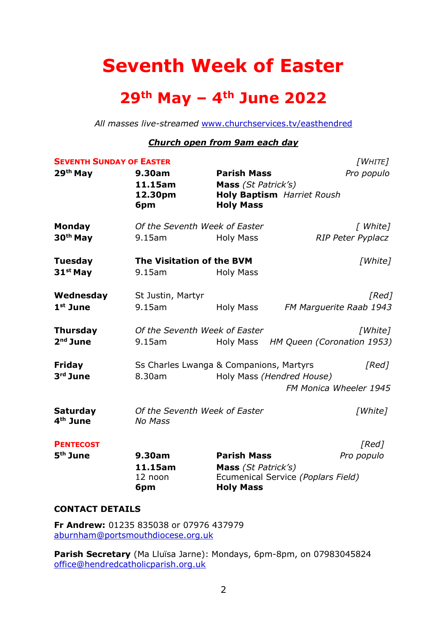# **Seventh Week of Easter**

# **29th May – 4th June 2022**

*All masses live-streamed* [www.churchservices.tv/easthendred](http://www.churchservices.tv/easthendred)

#### *Church open from 9am each day*

| <b>SEVENTH SUNDAY OF EASTER</b>         | [WHITE]                                         |                                           |                                      |
|-----------------------------------------|-------------------------------------------------|-------------------------------------------|--------------------------------------|
| 29 <sup>th</sup> May                    | 9.30am<br>11.15am                               | <b>Parish Mass</b><br>Mass (St Patrick's) | Pro populo                           |
|                                         | 12.30pm<br>6pm                                  | <b>Holy Mass</b>                          | <b>Holy Baptism</b> Harriet Roush    |
| <b>Monday</b>                           | Of the Seventh Week of Easter                   |                                           | [ White]                             |
| 30 <sup>th</sup> May                    | $9.15$ am                                       | <b>Holy Mass</b>                          | <b>RIP Peter Pyplacz</b>             |
| <b>Tuesday</b>                          | The Visitation of the BVM                       |                                           | [White]                              |
| $31st$ May                              | 9.15am                                          | <b>Holy Mass</b>                          |                                      |
| Wednesday                               | St Justin, Martyr                               |                                           | [Red]                                |
| $1st$ June                              | 9.15am                                          | Holy Mass                                 | FM Marguerite Raab 1943              |
| <b>Thursday</b>                         | Of the Seventh Week of Easter                   |                                           | [White]                              |
| $2nd$ June                              | $9.15$ am                                       |                                           | Holy Mass HM Queen (Coronation 1953) |
| Friday                                  | Ss Charles Lwanga & Companions, Martyrs         |                                           | [Red]                                |
| 3rd June                                | 8.30am                                          | Holy Mass (Hendred House)                 |                                      |
|                                         |                                                 |                                           | FM Monica Wheeler 1945               |
| <b>Saturday</b><br>4 <sup>th</sup> June | Of the Seventh Week of Easter<br><b>No Mass</b> |                                           | [White]                              |
| <b>PENTECOST</b>                        |                                                 |                                           | [Red]                                |
| 5 <sup>th</sup> June                    | 9.30am                                          | <b>Parish Mass</b>                        | Pro populo                           |
|                                         | 11.15am<br>12 noon                              | Mass (St Patrick's)                       | Ecumenical Service (Poplars Field)   |
|                                         | 6pm                                             | <b>Holy Mass</b>                          |                                      |
|                                         |                                                 |                                           |                                      |

#### **CONTACT DETAILS**

**Fr Andrew:** 01235 835038 or 07976 437979 [aburnham@portsmouthdiocese.org.uk](mailto:aburnham@portsmouthdiocese.org.uk)

**Parish Secretary** (Ma Lluïsa Jarne): Mondays, 6pm-8pm, on 07983045824 [office@hendredcatholicparish.org.uk](mailto:office@hendredcatholicparish.org.uk)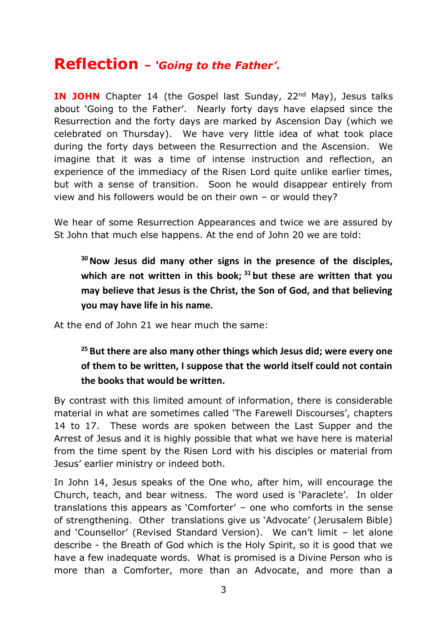# **Reflection –** *'Going to the Father'.*

**IN JOHN** Chapter 14 (the Gospel last Sunday, 22<sup>nd</sup> May), Jesus talks about 'Going to the Father'. Nearly forty days have elapsed since the Resurrection and the forty days are marked by Ascension Day (which we celebrated on Thursday). We have very little idea of what took place during the forty days between the Resurrection and the Ascension. We imagine that it was a time of intense instruction and reflection, an experience of the immediacy of the Risen Lord quite unlike earlier times, but with a sense of transition. Soon he would disappear entirely from view and his followers would be on their own – or would they?

We hear of some Resurrection Appearances and twice we are assured by St John that much else happens. At the end of John 20 we are told:

**<sup>30</sup>Now Jesus did many other signs in the presence of the disciples, which are not written in this book; <sup>31</sup> but these are written that you may believe that Jesus is the Christ, the Son of God, and that believing you may have life in his name.**

At the end of John 21 we hear much the same:

#### **<sup>25</sup> But there are also many other things which Jesus did; were every one of them to be written, I suppose that the world itself could not contain the books that would be written.**

By contrast with this limited amount of information, there is considerable material in what are sometimes called 'The Farewell Discourses', chapters 14 to 17. These words are spoken between the Last Supper and the Arrest of Jesus and it is highly possible that what we have here is material from the time spent by the Risen Lord with his disciples or material from Jesus' earlier ministry or indeed both.

In John 14, Jesus speaks of the One who, after him, will encourage the Church, teach, and bear witness. The word used is 'Paraclete'. In older translations this appears as 'Comforter' – one who comforts in the sense of strengthening. Other translations give us 'Advocate' (Jerusalem Bible) and 'Counsellor' (Revised Standard Version). We can't limit – let alone describe - the Breath of God which is the Holy Spirit, so it is good that we have a few inadequate words. What is promised is a Divine Person who is more than a Comforter, more than an Advocate, and more than a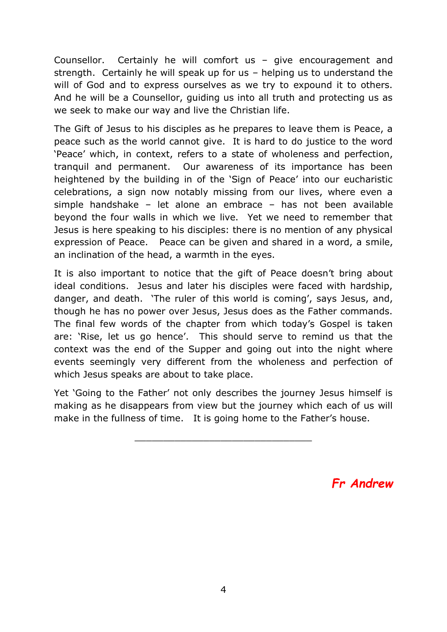Counsellor. Certainly he will comfort us – give encouragement and strength. Certainly he will speak up for us – helping us to understand the will of God and to express ourselves as we try to expound it to others. And he will be a Counsellor, guiding us into all truth and protecting us as we seek to make our way and live the Christian life.

The Gift of Jesus to his disciples as he prepares to leave them is Peace, a peace such as the world cannot give. It is hard to do justice to the word 'Peace' which, in context, refers to a state of wholeness and perfection, tranquil and permanent. Our awareness of its importance has been heightened by the building in of the 'Sign of Peace' into our eucharistic celebrations, a sign now notably missing from our lives, where even a simple handshake – let alone an embrace – has not been available beyond the four walls in which we live. Yet we need to remember that Jesus is here speaking to his disciples: there is no mention of any physical expression of Peace. Peace can be given and shared in a word, a smile, an inclination of the head, a warmth in the eyes.

It is also important to notice that the gift of Peace doesn't bring about ideal conditions. Jesus and later his disciples were faced with hardship, danger, and death. 'The ruler of this world is coming', says Jesus, and, though he has no power over Jesus, Jesus does as the Father commands. The final few words of the chapter from which today's Gospel is taken are: 'Rise, let us go hence'. This should serve to remind us that the context was the end of the Supper and going out into the night where events seemingly very different from the wholeness and perfection of which Jesus speaks are about to take place.

Yet 'Going to the Father' not only describes the journey Jesus himself is making as he disappears from view but the journey which each of us will make in the fullness of time. It is going home to the Father's house.

\_\_\_\_\_\_\_\_\_\_\_\_\_\_\_\_\_\_\_\_\_\_\_\_\_\_\_\_\_\_\_

*Fr Andrew*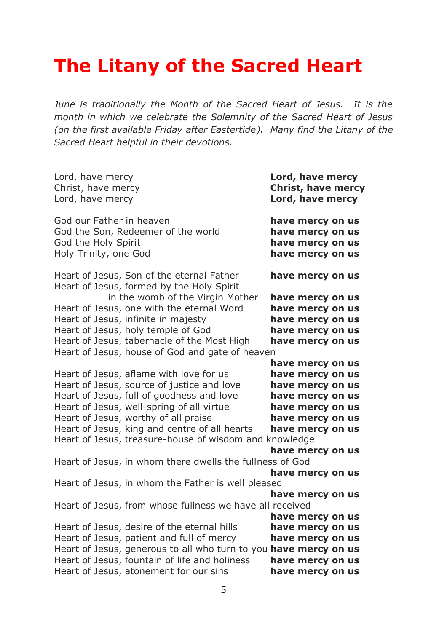# **The Litany of the Sacred Heart**

*June is traditionally the Month of the Sacred Heart of Jesus. It is the month in which we celebrate the Solemnity of the Sacred Heart of Jesus (on the first available Friday after Eastertide). Many find the Litany of the Sacred Heart helpful in their devotions.* 

| Lord, have mercy<br>Christ, have mercy<br>Lord, have mercy                                                     | Lord, have mercy<br><b>Christ, have mercy</b><br>Lord, have mercy            |  |
|----------------------------------------------------------------------------------------------------------------|------------------------------------------------------------------------------|--|
| God our Father in heaven<br>God the Son, Redeemer of the world<br>God the Holy Spirit<br>Holy Trinity, one God | have mercy on us<br>have mercy on us<br>have mercy on us<br>have mercy on us |  |
| Heart of Jesus, Son of the eternal Father<br>Heart of Jesus, formed by the Holy Spirit                         | have mercy on us                                                             |  |
| in the womb of the Virgin Mother                                                                               | have mercy on us                                                             |  |
| Heart of Jesus, one with the eternal Word                                                                      | have mercy on us                                                             |  |
| Heart of Jesus, infinite in majesty                                                                            | have mercy on us                                                             |  |
| Heart of Jesus, holy temple of God                                                                             | have mercy on us                                                             |  |
| Heart of Jesus, tabernacle of the Most High                                                                    | have mercy on us                                                             |  |
| Heart of Jesus, house of God and gate of heaven                                                                |                                                                              |  |
|                                                                                                                | have mercy on us                                                             |  |
| Heart of Jesus, aflame with love for us                                                                        | have mercy on us                                                             |  |
| Heart of Jesus, source of justice and love                                                                     | have mercy on us                                                             |  |
| Heart of Jesus, full of goodness and love                                                                      | have mercy on us                                                             |  |
| Heart of Jesus, well-spring of all virtue                                                                      | have mercy on us                                                             |  |
| Heart of Jesus, worthy of all praise                                                                           | have mercy on us                                                             |  |
| Heart of Jesus, king and centre of all hearts                                                                  | have mercy on us                                                             |  |
| Heart of Jesus, treasure-house of wisdom and knowledge                                                         | have mercy on us                                                             |  |
| Heart of Jesus, in whom there dwells the fullness of God                                                       |                                                                              |  |
|                                                                                                                | have mercy on us                                                             |  |
| Heart of Jesus, in whom the Father is well pleased                                                             |                                                                              |  |
|                                                                                                                | have mercy on us                                                             |  |
| Heart of Jesus, from whose fullness we have all received                                                       |                                                                              |  |
|                                                                                                                | have mercy on us                                                             |  |
| Heart of Jesus, desire of the eternal hills                                                                    | have mercy on us                                                             |  |
| Heart of Jesus, patient and full of mercy                                                                      | have mercy on us                                                             |  |
| Heart of Jesus, generous to all who turn to you have mercy on us                                               |                                                                              |  |
| Heart of Jesus, fountain of life and holiness                                                                  | have mercy on us                                                             |  |
| Heart of Jesus, atonement for our sins                                                                         | have mercy on us                                                             |  |
|                                                                                                                |                                                                              |  |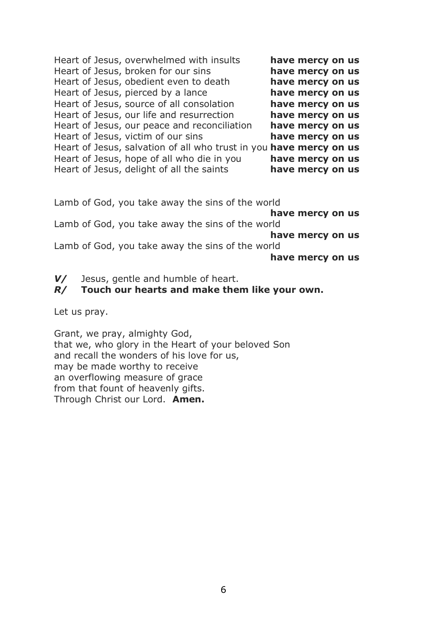| Heart of Jesus, overwhelmed with insults                           | have mercy on us |  |  |
|--------------------------------------------------------------------|------------------|--|--|
| Heart of Jesus, broken for our sins                                | have mercy on us |  |  |
| Heart of Jesus, obedient even to death                             | have mercy on us |  |  |
| Heart of Jesus, pierced by a lance                                 | have mercy on us |  |  |
| Heart of Jesus, source of all consolation                          | have mercy on us |  |  |
| Heart of Jesus, our life and resurrection                          | have mercy on us |  |  |
| Heart of Jesus, our peace and reconciliation                       | have mercy on us |  |  |
| Heart of Jesus, victim of our sins                                 | have mercy on us |  |  |
| Heart of Jesus, salvation of all who trust in you have mercy on us |                  |  |  |
| Heart of Jesus, hope of all who die in you                         | have mercy on us |  |  |
| Heart of Jesus, delight of all the saints                          | have mercy on us |  |  |

Lamb of God, you take away the sins of the world

**have mercy on us** Lamb of God, you take away the sins of the world **have mercy on us** Lamb of God, you take away the sins of the world **have mercy on us**

*V/* Jesus, gentle and humble of heart.

#### *R/* **Touch our hearts and make them like your own.**

Let us pray.

Grant, we pray, almighty God, that we, who glory in the Heart of your beloved Son and recall the wonders of his love for us, may be made worthy to receive an overflowing measure of grace from that fount of heavenly gifts. Through Christ our Lord. **Amen.**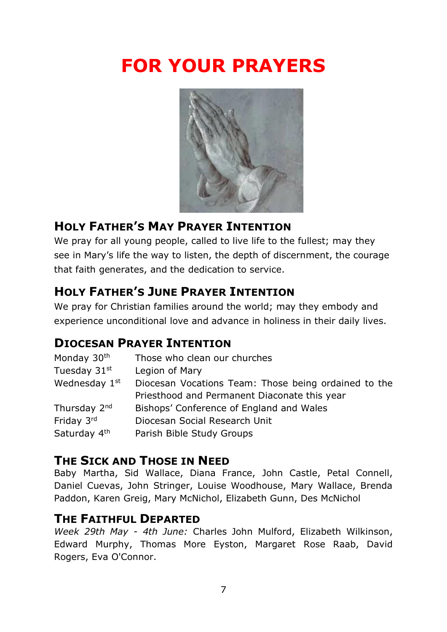# **FOR YOUR PRAYERS**



## **HOLY FATHER'S MAY PRAYER INTENTION**

We pray for all young people, called to live life to the fullest; may they see in Mary's life the way to listen, the depth of discernment, the courage that faith generates, and the dedication to service.

## **HOLY FATHER'S JUNE PRAYER INTENTION**

We pray for Christian families around the world; may they embody and experience unconditional love and advance in holiness in their daily lives.

## **DIOCESAN PRAYER INTENTION**

| Monday 30th              | Those who clean our churches                         |
|--------------------------|------------------------------------------------------|
| Tuesday 31st             | Legion of Mary                                       |
| Wednesday 1st            | Diocesan Vocations Team: Those being ordained to the |
|                          | Priesthood and Permanent Diaconate this year         |
| Thursday 2 <sup>nd</sup> | Bishops' Conference of England and Wales             |
| Friday 3rd               | Diocesan Social Research Unit                        |
| Saturday 4th             | Parish Bible Study Groups                            |

### **THE SICK AND THOSE IN NEED**

Baby Martha, Sid Wallace, Diana France, John Castle, Petal Connell, Daniel Cuevas, John Stringer, Louise Woodhouse, Mary Wallace, Brenda Paddon, Karen Greig, Mary McNichol, Elizabeth Gunn, Des McNichol

### **THE FAITHFUL DEPARTED**

*Week 29th May - 4th June:* Charles John Mulford, Elizabeth Wilkinson, Edward Murphy, Thomas More Eyston, Margaret Rose Raab, David Rogers, Eva O'Connor.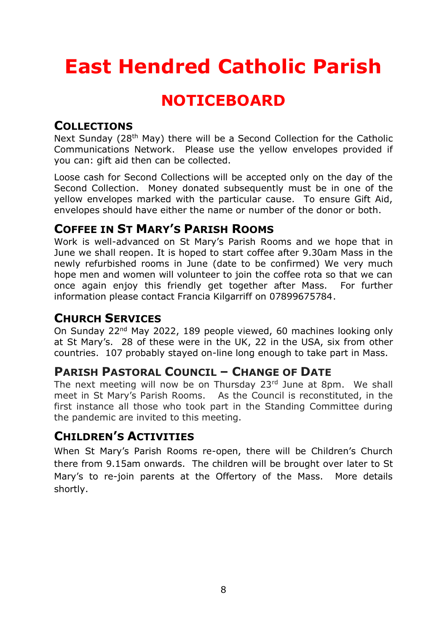# **East Hendred Catholic Parish**

# **NOTICEBOARD**

### **COLLECTIONS**

Next Sunday (28<sup>th</sup> May) there will be a Second Collection for the Catholic Communications Network. Please use the yellow envelopes provided if you can: gift aid then can be collected.

Loose cash for Second Collections will be accepted only on the day of the Second Collection. Money donated subsequently must be in one of the yellow envelopes marked with the particular cause. To ensure Gift Aid, envelopes should have either the name or number of the donor or both.

#### **COFFEE IN ST MARY'S PARISH ROOMS**

Work is well-advanced on St Mary's Parish Rooms and we hope that in June we shall reopen. It is hoped to start coffee after 9.30am Mass in the newly refurbished rooms in June (date to be confirmed) We very much hope men and women will volunteer to join the coffee rota so that we can once again enjoy this friendly get together after Mass. For further information please contact Francia Kilgarriff on 07899675784.

#### **CHURCH SERVICES**

On Sunday 22nd May 2022, 189 people viewed, 60 machines looking only at St Mary's. 28 of these were in the UK, 22 in the USA, six from other countries. 107 probably stayed on-line long enough to take part in Mass.

### **PARISH PASTORAL COUNCIL – CHANGE OF DATE**

The next meeting will now be on Thursday 23rd June at 8pm. We shall meet in St Mary's Parish Rooms. As the Council is reconstituted, in the first instance all those who took part in the Standing Committee during the pandemic are invited to this meeting.

### **CHILDREN'S ACTIVITIES**

When St Mary's Parish Rooms re-open, there will be Children's Church there from 9.15am onwards. The children will be brought over later to St Mary's to re-join parents at the Offertory of the Mass. More details shortly.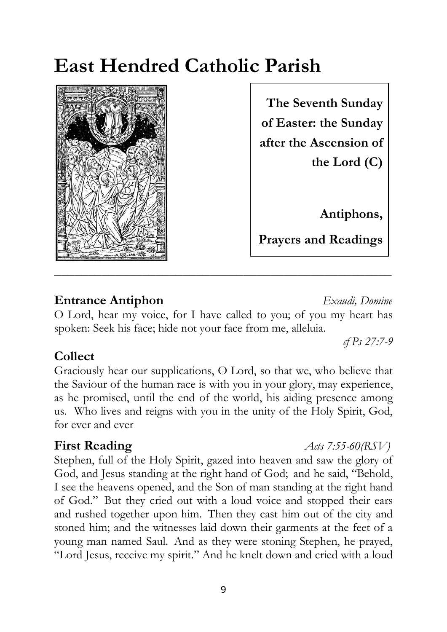# **East Hendred Catholic Parish**



**Sixth Sunday of**  of Easter: the Sunday **Antiphons, after the Ascension of Prayers and Readings The Seventh Sunday the Lord (C)** 

**Antiphons,**

**Prayers and Readings**

## **Entrance Antiphon** *Exaudi, Domine*

O Lord, hear my voice, for I have called to you; of you my heart has spoken: Seek his face; hide not your face from me, alleluia.

## **Collect**

Graciously hear our supplications, O Lord, so that we, who believe that the Saviour of the human race is with you in your glory, may experience, as he promised, until the end of the world, his aiding presence among us. Who lives and reigns with you in the unity of the Holy Spirit, God, for ever and ever

Stephen, full of the Holy Spirit, gazed into heaven and saw the glory of God, and Jesus standing at the right hand of God; and he said, "Behold, I see the heavens opened, and the Son of man standing at the right hand of God." But they cried out with a loud voice and stopped their ears and rushed together upon him. Then they cast him out of the city and stoned him; and the witnesses laid down their garments at the feet of a young man named Saul. And as they were stoning Stephen, he prayed, "Lord Jesus, receive my spirit." And he knelt down and cried with a loud

**First Reading** *<i>Acts 7:55-60(RSV)* 

*cf Ps 27:7-9*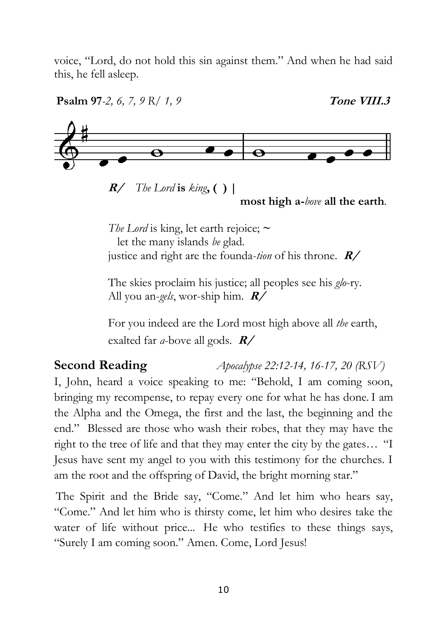voice, "Lord, do not hold this sin against them." And when he had said this, he fell asleep.



The skies proclaim his justice; all peoples see his *glo*-ry. All you an-*gels*, wor-ship him. **R/**

For you indeed are the Lord most high above all *the* earth, exalted far *a*-bove all gods. **R/**

**Second Reading** *Apocalypse 22:12-14, 16-17, 20 (RSV)*

I, John, heard a voice speaking to me: "Behold, I am coming soon, bringing my recompense, to repay every one for what he has done. I am the Alpha and the Omega, the first and the last, the beginning and the end." Blessed are those who wash their robes, that they may have the right to the tree of life and that they may enter the city by the gates… "I Jesus have sent my angel to you with this testimony for the churches. I am the root and the offspring of David, the bright morning star."

The Spirit and the Bride say, "Come." And let him who hears say, "Come." And let him who is thirsty come, let him who desires take the water of life without price... He who testifies to these things says, "Surely I am coming soon." Amen. Come, Lord Jesus!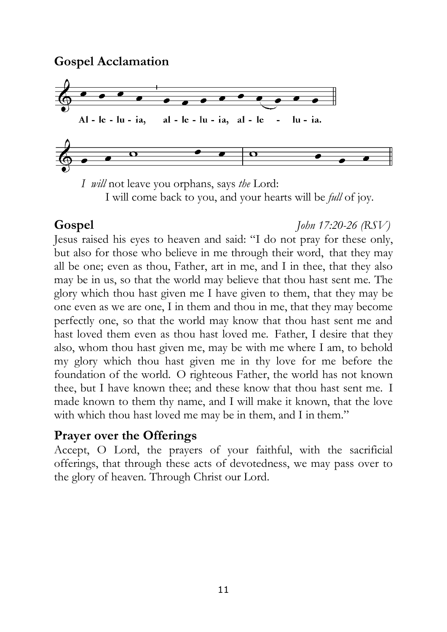**Gospel Acclamation** 



 *I will* not leave you orphans, says *the* Lord: I will come back to you, and your hearts will be *full* of joy.

### **Gospel** *John 17:20-26 (RSV)*

Jesus raised his eyes to heaven and said: "I do not pray for these only, but also for those who believe in me through their word, that they may all be one; even as thou, Father, art in me, and I in thee, that they also may be in us, so that the world may believe that thou hast sent me. The glory which thou hast given me I have given to them, that they may be one even as we are one, I in them and thou in me, that they may become perfectly one, so that the world may know that thou hast sent me and hast loved them even as thou hast loved me. Father, I desire that they also, whom thou hast given me, may be with me where I am, to behold my glory which thou hast given me in thy love for me before the foundation of the world. O righteous Father, the world has not known thee, but I have known thee; and these know that thou hast sent me. I made known to them thy name, and I will make it known, that the love with which thou hast loved me may be in them, and I in them."

### **Prayer over the Offerings**

Accept, O Lord, the prayers of your faithful, with the sacrificial offerings, that through these acts of devotedness, we may pass over to the glory of heaven. Through Christ our Lord.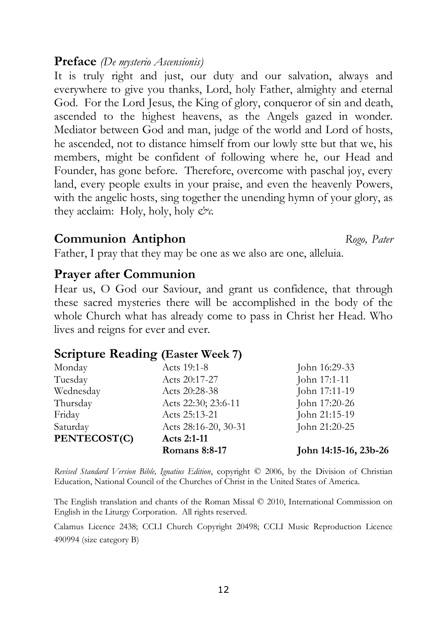#### **Preface** *(De mysterio Ascensionis)*

It is truly right and just, our duty and our salvation, always and everywhere to give you thanks, Lord, holy Father, almighty and eternal God. For the Lord Jesus, the King of glory, conqueror of sin and death, ascended to the highest heavens, as the Angels gazed in wonder. Mediator between God and man, judge of the world and Lord of hosts, he ascended, not to distance himself from our lowly stte but that we, his members, might be confident of following where he, our Head and Founder, has gone before. Therefore, overcome with paschal joy, every land, every people exults in your praise, and even the heavenly Powers, with the angelic hosts, sing together the unending hymn of your glory, as they acclaim: Holy, holy, holy *&c.*

#### **Communion Antiphon** *Rogo, Pater*

Father, I pray that they may be one as we also are one, alleluia.

### **Prayer after Communion**

Hear us, O God our Saviour, and grant us confidence, that through these sacred mysteries there will be accomplished in the body of the whole Church what has already come to pass in Christ her Head. Who lives and reigns for ever and ever.

### **Scripture Reading (Easter Week 7)**

|              | <b>Romans 8:8-17</b> | John 14:15-16, 23b-26 |
|--------------|----------------------|-----------------------|
| PENTECOST(C) | Acts 2:1-11          |                       |
| Saturday     | Acts 28:16-20, 30-31 | John 21:20-25         |
| Friday       | Acts 25:13-21        | John 21:15-19         |
| Thursday     | Acts 22:30; 23:6-11  | John 17:20-26         |
| Wednesday    | Acts 20:28-38        | John 17:11-19         |
| Tuesday      | Acts 20:17-27        | John 17:1-11          |
| Monday       | Acts 19:1-8          | John 16:29-33         |

*Revised Standard Version Bible, Ignatius Edition*, copyright © 2006, by the Division of Christian Education, National Council of the Churches of Christ in the United States of America.

The English translation and chants of the Roman Missal © 2010, International Commission on English in the Liturgy Corporation. All rights reserved.

Calamus Licence 2438; CCLI Church Copyright 20498; CCLI Music Reproduction Licence 490994 (size category B)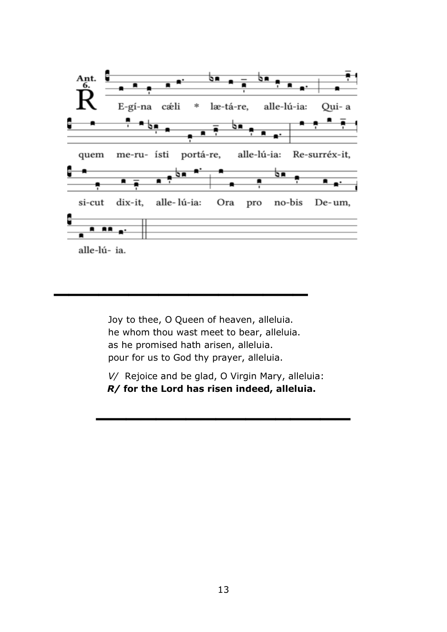

Joy to thee, O Queen of heaven, alleluia. he whom thou wast meet to bear, alleluia. as he promised hath arisen, alleluia. pour for us to God thy prayer, alleluia.

**\_\_\_\_\_\_\_\_\_\_\_\_\_\_\_\_\_**

*V/* Rejoice and be glad, O Virgin Mary, alleluia: *R/* **for the Lord has risen indeed, alleluia.**

**\_\_\_\_\_\_\_\_\_\_\_\_\_\_\_\_\_**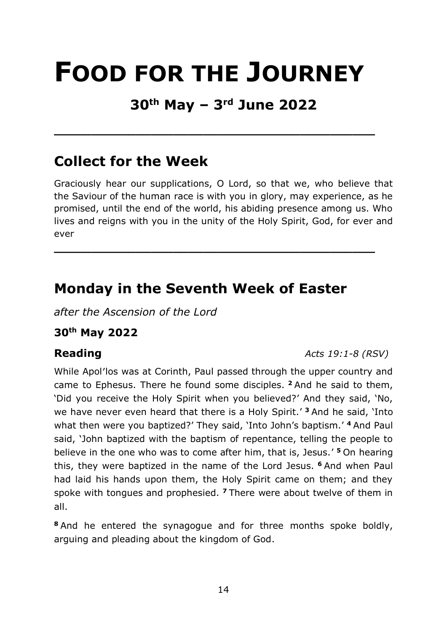# **FOOD FOR THE JOURNEY**

# **30th May – 3rd June 2022**

**\_\_\_\_\_\_\_\_\_\_\_\_\_\_\_\_\_\_\_\_\_\_\_\_\_\_\_\_\_\_\_\_\_\_\_\_\_\_\_\_\_\_\_** 

# **Collect for the Week**

Graciously hear our supplications, O Lord, so that we, who believe that the Saviour of the human race is with you in glory, may experience, as he promised, until the end of the world, his abiding presence among us. Who lives and reigns with you in the unity of the Holy Spirit, God, for ever and ever

**\_\_\_\_\_\_\_\_\_\_\_\_\_\_\_\_\_\_\_\_\_\_\_\_\_\_\_\_\_\_\_\_\_\_\_\_\_\_\_\_\_\_\_** 

# **Monday in the Seventh Week of Easter**

*after the Ascension of the Lord*

### **30th May 2022**

#### **Reading** *Acts 19:1-8 (RSV)*

While Apol'los was at Corinth, Paul passed through the upper country and came to Ephesus. There he found some disciples. **<sup>2</sup>** And he said to them, 'Did you receive the Holy Spirit when you believed?' And they said, 'No, we have never even heard that there is a Holy Spirit.' **<sup>3</sup>** And he said, 'Into what then were you baptized?' They said, 'Into John's baptism.' **<sup>4</sup>** And Paul said, 'John baptized with the baptism of repentance, telling the people to believe in the one who was to come after him, that is, Jesus.' **<sup>5</sup>** On hearing this, they were baptized in the name of the Lord Jesus. **<sup>6</sup>** And when Paul had laid his hands upon them, the Holy Spirit came on them; and they spoke with tongues and prophesied. **<sup>7</sup>** There were about twelve of them in all.

**<sup>8</sup>** And he entered the synagogue and for three months spoke boldly, arguing and pleading about the kingdom of God.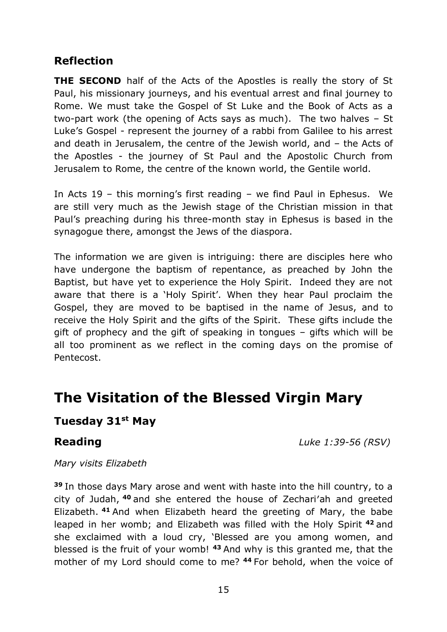#### **Reflection**

**THE SECOND** half of the Acts of the Apostles is really the story of St Paul, his missionary journeys, and his eventual arrest and final journey to Rome. We must take the Gospel of St Luke and the Book of Acts as a two-part work (the opening of Acts says as much). The two halves – St Luke's Gospel - represent the journey of a rabbi from Galilee to his arrest and death in Jerusalem, the centre of the Jewish world, and – the Acts of the Apostles - the journey of St Paul and the Apostolic Church from Jerusalem to Rome, the centre of the known world, the Gentile world.

In Acts 19 – this morning's first reading – we find Paul in Ephesus. We are still very much as the Jewish stage of the Christian mission in that Paul's preaching during his three-month stay in Ephesus is based in the synagogue there, amongst the Jews of the diaspora.

The information we are given is intriguing: there are disciples here who have undergone the baptism of repentance, as preached by John the Baptist, but have yet to experience the Holy Spirit. Indeed they are not aware that there is a 'Holy Spirit'. When they hear Paul proclaim the Gospel, they are moved to be baptised in the name of Jesus, and to receive the Holy Spirit and the gifts of the Spirit. These gifts include the gift of prophecy and the gift of speaking in tongues – gifts which will be all too prominent as we reflect in the coming days on the promise of Pentecost.

## **The Visitation of the Blessed Virgin Mary**

#### **Tuesday 31st May**

**Reading** *Luke 1:39-56 (RSV)*

*Mary visits Elizabeth*

**<sup>39</sup>** In those days Mary arose and went with haste into the hill country, to a city of Judah, **<sup>40</sup>** and she entered the house of Zechari′ah and greeted Elizabeth. **<sup>41</sup>** And when Elizabeth heard the greeting of Mary, the babe leaped in her womb; and Elizabeth was filled with the Holy Spirit **<sup>42</sup>** and she exclaimed with a loud cry, 'Blessed are you among women, and blessed is the fruit of your womb! **<sup>43</sup>** And why is this granted me, that the mother of my Lord should come to me? **<sup>44</sup>** For behold, when the voice of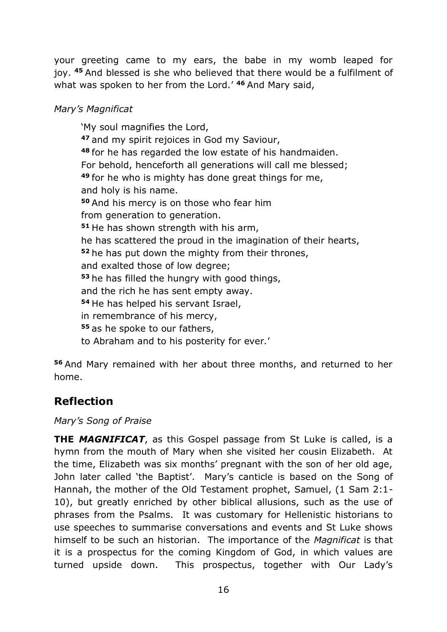your greeting came to my ears, the babe in my womb leaped for joy. **<sup>45</sup>** And blessed is she who believed that there would be a fulfilment of what was spoken to her from the Lord.' **<sup>46</sup>** And Mary said,

#### *Mary's Magnificat*

'My soul magnifies the Lord, **<sup>47</sup>** and my spirit rejoices in God my Saviour, **<sup>48</sup>** for he has regarded the low estate of his handmaiden. For behold, henceforth all generations will call me blessed; **<sup>49</sup>** for he who is mighty has done great things for me, and holy is his name. **<sup>50</sup>** And his mercy is on those who fear him from generation to generation. **<sup>51</sup>** He has shown strength with his arm, he has scattered the proud in the imagination of their hearts, **<sup>52</sup>** he has put down the mighty from their thrones, and exalted those of low degree; **<sup>53</sup>** he has filled the hungry with good things, and the rich he has sent empty away. **<sup>54</sup>** He has helped his servant Israel, in remembrance of his mercy, **<sup>55</sup>** as he spoke to our fathers, to Abraham and to his posterity for ever.'

**<sup>56</sup>** And Mary remained with her about three months, and returned to her home.

### **Reflection**

*Mary's Song of Praise*

**THE** *MAGNIFICAT*, as this Gospel passage from St Luke is called, is a hymn from the mouth of Mary when she visited her cousin Elizabeth. At the time, Elizabeth was six months' pregnant with the son of her old age, John later called 'the Baptist'. Mary's canticle is based on the Song of Hannah, the mother of the Old Testament prophet, Samuel, (1 Sam 2:1- 10), but greatly enriched by other biblical allusions, such as the use of phrases from the Psalms. It was customary for Hellenistic historians to use speeches to summarise conversations and events and St Luke shows himself to be such an historian. The importance of the *Magnificat* is that it is a prospectus for the coming Kingdom of God, in which values are turned upside down. This prospectus, together with Our Lady's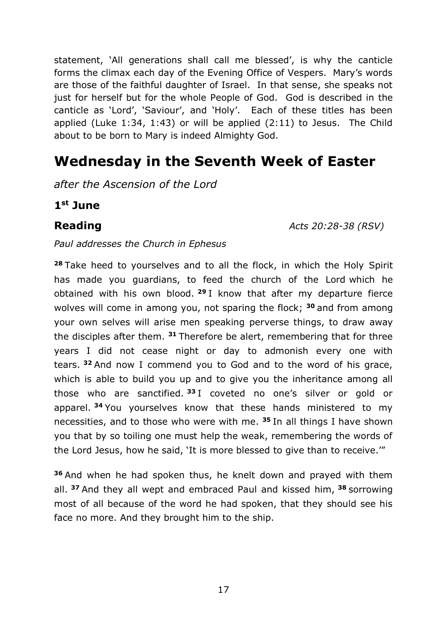statement, 'All generations shall call me blessed', is why the canticle forms the climax each day of the Evening Office of Vespers. Mary's words are those of the faithful daughter of Israel. In that sense, she speaks not just for herself but for the whole People of God. God is described in the canticle as 'Lord', 'Saviour', and 'Holy'. Each of these titles has been applied (Luke 1:34, 1:43) or will be applied (2:11) to Jesus. The Child about to be born to Mary is indeed Almighty God.

# **Wednesday in the Seventh Week of Easter**

*after the Ascension of the Lord*

**1 st June**

**Reading** *Acts 20:28-38 (RSV)*

*Paul addresses the Church in Ephesus*

**<sup>28</sup>** Take heed to yourselves and to all the flock, in which the Holy Spirit has made you guardians, to feed the church of the Lord which he obtained with his own blood. **<sup>29</sup>** I know that after my departure fierce wolves will come in among you, not sparing the flock; **<sup>30</sup>** and from among your own selves will arise men speaking perverse things, to draw away the disciples after them. **<sup>31</sup>** Therefore be alert, remembering that for three years I did not cease night or day to admonish every one with tears. **<sup>32</sup>** And now I commend you to God and to the word of his grace, which is able to build you up and to give you the inheritance among all those who are sanctified. **<sup>33</sup>** I coveted no one's silver or gold or apparel. **<sup>34</sup>** You yourselves know that these hands ministered to my necessities, and to those who were with me. **<sup>35</sup>** In all things I have shown you that by so toiling one must help the weak, remembering the words of the Lord Jesus, how he said, 'It is more blessed to give than to receive.'"

**<sup>36</sup>** And when he had spoken thus, he knelt down and prayed with them all. **<sup>37</sup>** And they all wept and embraced Paul and kissed him, **<sup>38</sup>** sorrowing most of all because of the word he had spoken, that they should see his face no more. And they brought him to the ship.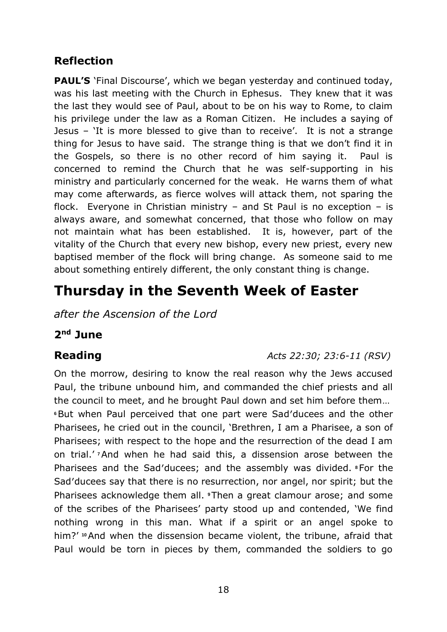### **Reflection**

**PAUL'S** 'Final Discourse', which we began yesterday and continued today, was his last meeting with the Church in Ephesus. They knew that it was the last they would see of Paul, about to be on his way to Rome, to claim his privilege under the law as a Roman Citizen. He includes a saying of Jesus – 'It is more blessed to give than to receive'. It is not a strange thing for Jesus to have said. The strange thing is that we don't find it in the Gospels, so there is no other record of him saying it. Paul is concerned to remind the Church that he was self-supporting in his ministry and particularly concerned for the weak. He warns them of what may come afterwards, as fierce wolves will attack them, not sparing the flock. Everyone in Christian ministry  $-$  and St Paul is no exception  $-$  is always aware, and somewhat concerned, that those who follow on may not maintain what has been established. It is, however, part of the vitality of the Church that every new bishop, every new priest, every new baptised member of the flock will bring change. As someone said to me about something entirely different, the only constant thing is change.

# **Thursday in the Seventh Week of Easter**

*after the Ascension of the Lord*

#### **2 nd June**

#### **Reading** *Acts 22:30; 23:6-11 (RSV)*

On the morrow, desiring to know the real reason why the Jews accused Paul, the tribune unbound him, and commanded the chief priests and all the council to meet, and he brought Paul down and set him before them… **<sup>6</sup>**But when Paul perceived that one part were Sad′ducees and the other Pharisees, he cried out in the council, 'Brethren, I am a Pharisee, a son of Pharisees; with respect to the hope and the resurrection of the dead I am on trial.' **<sup>7</sup>**And when he had said this, a dissension arose between the Pharisees and the Sad′ducees; and the assembly was divided. **<sup>8</sup>**For the Sad′ducees say that there is no resurrection, nor angel, nor spirit; but the Pharisees acknowledge them all. **<sup>9</sup>**Then a great clamour arose; and some of the scribes of the Pharisees' party stood up and contended, 'We find nothing wrong in this man. What if a spirit or an angel spoke to him?' <sup>10</sup> And when the dissension became violent, the tribune, afraid that Paul would be torn in pieces by them, commanded the soldiers to go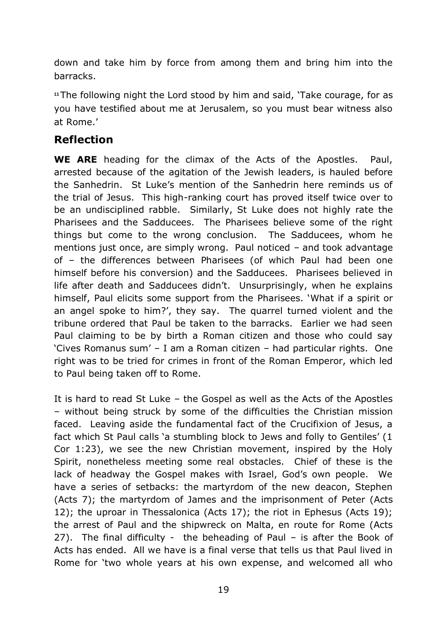down and take him by force from among them and bring him into the barracks.

**<sup>11</sup>**The following night the Lord stood by him and said, 'Take courage, for as you have testified about me at Jerusalem, so you must bear witness also at Rome.'

### **Reflection**

**WE ARE** heading for the climax of the Acts of the Apostles. Paul, arrested because of the agitation of the Jewish leaders, is hauled before the Sanhedrin. St Luke's mention of the Sanhedrin here reminds us of the trial of Jesus. This high-ranking court has proved itself twice over to be an undisciplined rabble. Similarly, St Luke does not highly rate the Pharisees and the Sadducees. The Pharisees believe some of the right things but come to the wrong conclusion. The Sadducees, whom he mentions just once, are simply wrong. Paul noticed – and took advantage of – the differences between Pharisees (of which Paul had been one himself before his conversion) and the Sadducees. Pharisees believed in life after death and Sadducees didn't. Unsurprisingly, when he explains himself, Paul elicits some support from the Pharisees. 'What if a spirit or an angel spoke to him?', they say. The quarrel turned violent and the tribune ordered that Paul be taken to the barracks. Earlier we had seen Paul claiming to be by birth a Roman citizen and those who could say 'Cives Romanus sum' – I am a Roman citizen – had particular rights. One right was to be tried for crimes in front of the Roman Emperor, which led to Paul being taken off to Rome.

It is hard to read St Luke – the Gospel as well as the Acts of the Apostles – without being struck by some of the difficulties the Christian mission faced. Leaving aside the fundamental fact of the Crucifixion of Jesus, a fact which St Paul calls 'a stumbling block to Jews and folly to Gentiles' (1 Cor 1:23), we see the new Christian movement, inspired by the Holy Spirit, nonetheless meeting some real obstacles. Chief of these is the lack of headway the Gospel makes with Israel, God's own people. We have a series of setbacks: the martyrdom of the new deacon, Stephen (Acts 7); the martyrdom of James and the imprisonment of Peter (Acts 12); the uproar in Thessalonica (Acts 17); the riot in Ephesus (Acts 19); the arrest of Paul and the shipwreck on Malta, en route for Rome (Acts 27). The final difficulty - the beheading of Paul – is after the Book of Acts has ended. All we have is a final verse that tells us that Paul lived in Rome for 'two whole years at his own expense, and welcomed all who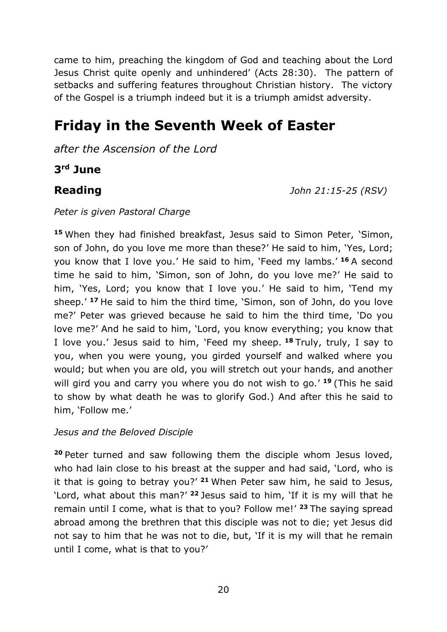came to him, preaching the kingdom of God and teaching about the Lord Jesus Christ quite openly and unhindered' (Acts 28:30). The pattern of setbacks and suffering features throughout Christian history. The victory of the Gospel is a triumph indeed but it is a triumph amidst adversity.

# **Friday in the Seventh Week of Easter**

*after the Ascension of the Lord*

**3 rd June**

**Reading** *John 21:15-25 (RSV)*

#### *Peter is given Pastoral Charge*

**<sup>15</sup>** When they had finished breakfast, Jesus said to Simon Peter, 'Simon, son of John, do you love me more than these?' He said to him, 'Yes, Lord; you know that I love you.' He said to him, 'Feed my lambs.' **<sup>16</sup>** A second time he said to him, 'Simon, son of John, do you love me?' He said to him, 'Yes, Lord; you know that I love you.' He said to him, 'Tend my sheep.' **<sup>17</sup>** He said to him the third time, 'Simon, son of John, do you love me?' Peter was grieved because he said to him the third time, 'Do you love me?' And he said to him, 'Lord, you know everything; you know that I love you.' Jesus said to him, 'Feed my sheep. **<sup>18</sup>** Truly, truly, I say to you, when you were young, you girded yourself and walked where you would; but when you are old, you will stretch out your hands, and another will gird you and carry you where you do not wish to go.' **<sup>19</sup>** (This he said to show by what death he was to glorify God.) And after this he said to him, 'Follow me.'

#### *Jesus and the Beloved Disciple*

**<sup>20</sup>** Peter turned and saw following them the disciple whom Jesus loved, who had lain close to his breast at the supper and had said, 'Lord, who is it that is going to betray you?' **<sup>21</sup>** When Peter saw him, he said to Jesus, 'Lord, what about this man?' **<sup>22</sup>** Jesus said to him, 'If it is my will that he remain until I come, what is that to you? Follow me!' **<sup>23</sup>** The saying spread abroad among the brethren that this disciple was not to die; yet Jesus did not say to him that he was not to die, but, 'If it is my will that he remain until I come, what is that to you?'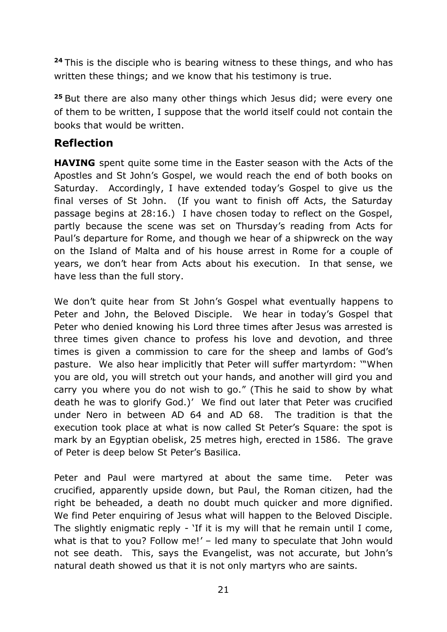**<sup>24</sup>** This is the disciple who is bearing witness to these things, and who has written these things; and we know that his testimony is true.

**<sup>25</sup>** But there are also many other things which Jesus did; were every one of them to be written, I suppose that the world itself could not contain the books that would be written.

### **Reflection**

**HAVING** spent quite some time in the Easter season with the Acts of the Apostles and St John's Gospel, we would reach the end of both books on Saturday. Accordingly, I have extended today's Gospel to give us the final verses of St John. (If you want to finish off Acts, the Saturday passage begins at 28:16.) I have chosen today to reflect on the Gospel, partly because the scene was set on Thursday's reading from Acts for Paul's departure for Rome, and though we hear of a shipwreck on the way on the Island of Malta and of his house arrest in Rome for a couple of years, we don't hear from Acts about his execution. In that sense, we have less than the full story.

We don't quite hear from St John's Gospel what eventually happens to Peter and John, the Beloved Disciple. We hear in today's Gospel that Peter who denied knowing his Lord three times after Jesus was arrested is three times given chance to profess his love and devotion, and three times is given a commission to care for the sheep and lambs of God's pasture. We also hear implicitly that Peter will suffer martyrdom: '"When you are old, you will stretch out your hands, and another will gird you and carry you where you do not wish to go." (This he said to show by what death he was to glorify God.)' We find out later that Peter was crucified under Nero in between AD 64 and AD 68. The tradition is that the execution took place at what is now called St Peter's Square: the spot is mark by an Egyptian obelisk, 25 metres high, erected in 1586. The grave of Peter is deep below St Peter's Basilica.

Peter and Paul were martyred at about the same time. Peter was crucified, apparently upside down, but Paul, the Roman citizen, had the right be beheaded, a death no doubt much quicker and more dignified. We find Peter enquiring of Jesus what will happen to the Beloved Disciple. The slightly enigmatic reply - 'If it is my will that he remain until I come, what is that to you? Follow me!' – led many to speculate that John would not see death. This, says the Evangelist, was not accurate, but John's natural death showed us that it is not only martyrs who are saints.